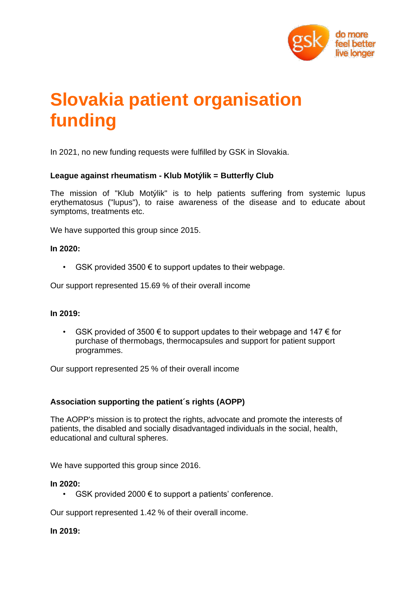

# **Slovakia patient organisation funding**

In 2021, no new funding requests were fulfilled by GSK in Slovakia.

# **League against rheumatism - Klub Motýlik = Butterfly Club**

The mission of "Klub Motýlik" is to help patients suffering from systemic lupus erythematosus ("lupus"), to raise awareness of the disease and to educate about symptoms, treatments etc.

We have supported this group since 2015.

#### **In 2020:**

• GSK provided 3500  $\epsilon$  to support updates to their webpage.

Our support represented 15.69 % of their overall income

## **In 2019:**

GSK provided of 3500  $\epsilon$  to support updates to their webpage and 147  $\epsilon$  for purchase of thermobags, thermocapsules and support for patient support programmes.

Our support represented 25 % of their overall income

## **Association supporting the patient´s rights (AOPP)**

The AOPP's mission is to protect the rights, advocate and promote the interests of patients, the disabled and socially disadvantaged individuals in the social, health, educational and cultural spheres.

We have supported this group since 2016.

#### **In 2020:**

• GSK provided 2000  $\epsilon$  to support a patients' conference.

Our support represented 1.42 % of their overall income.

#### **In 2019:**